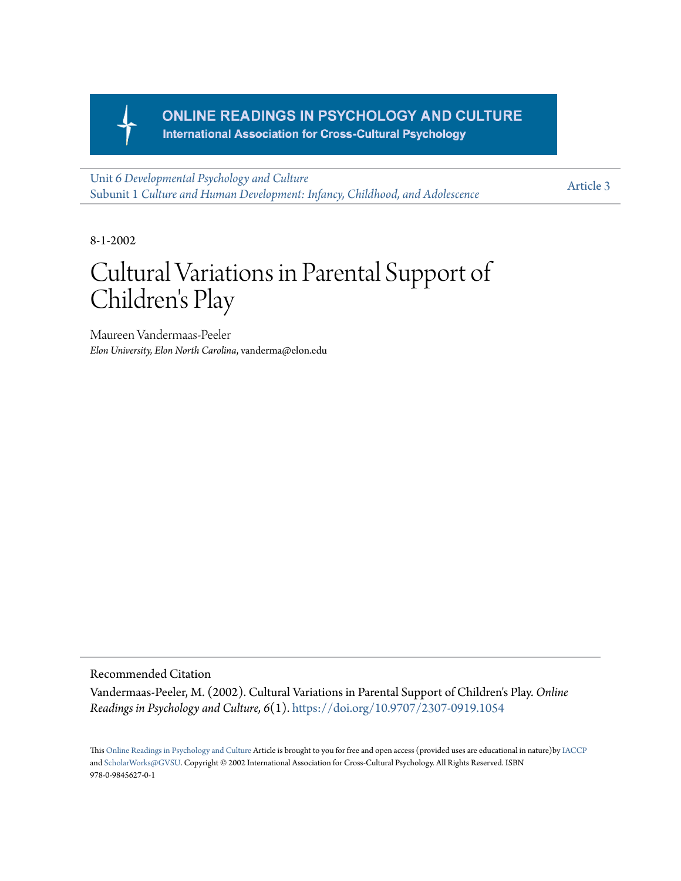

### **ONLINE READINGS IN PSYCHOLOGY AND CULTURE International Association for Cross-Cultural Psychology**

Unit 6 *[Developmental Psychology and Culture](https://scholarworks.gvsu.edu/orpc/vol6)* Subunit 1 *[Culture and Human Development: Infancy, Childhood, and Adolescence](https://scholarworks.gvsu.edu/orpc/vol6/iss1)*

[Article 3](https://scholarworks.gvsu.edu/orpc/vol6/iss1/3)

8-1-2002

# Cultural Variations in Parental Support of Children 's Play

Maureen Vandermaas-Peeler *Elon University, Elon North Carolina*, vanderma@elon.edu

Recommended Citation

Vandermaas-Peeler, M. (2002). Cultural Variations in Parental Support of Children's Play. *Online Readings in Psychology and Culture, 6*(1). <https://doi.org/10.9707/2307-0919.1054>

This [Online Readings in Psychology and Culture](http://scholarworks.gvsu.edu/orpc/) Article is brought to you for free and open access (provided uses are educational in nature)by [IACCP](http://www.iaccp.org/drupal/) and [ScholarWorks@GVSU](mailto:scholarworks@gvsu.edu). Copyright © 2002 International Association for Cross-Cultural Psychology. All Rights Reserved. ISBN 978-0-9845627-0-1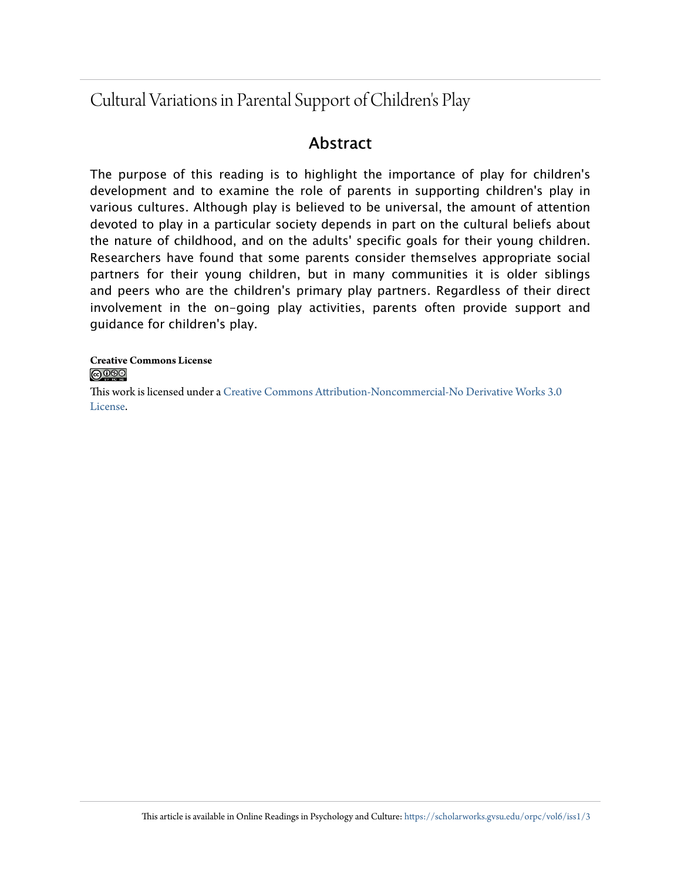# Cultural Variations in Parental Support of Children's Play

## Abstract

The purpose of this reading is to highlight the importance of play for children's development and to examine the role of parents in supporting children's play in various cultures. Although play is believed to be universal, the amount of attention devoted to play in a particular society depends in part on the cultural beliefs about the nature of childhood, and on the adults' specific goals for their young children. Researchers have found that some parents consider themselves appropriate social partners for their young children, but in many communities it is older siblings and peers who are the children's primary play partners. Regardless of their direct involvement in the on-going play activities, parents often provide support and guidance for children's play.

#### **Creative Commons License** <u>@0®®</u>

This work is licensed under a [Creative Commons Attribution-Noncommercial-No Derivative Works 3.0](http://creativecommons.org/licenses/by-nc-nd/3.0/) [License.](http://creativecommons.org/licenses/by-nc-nd/3.0/)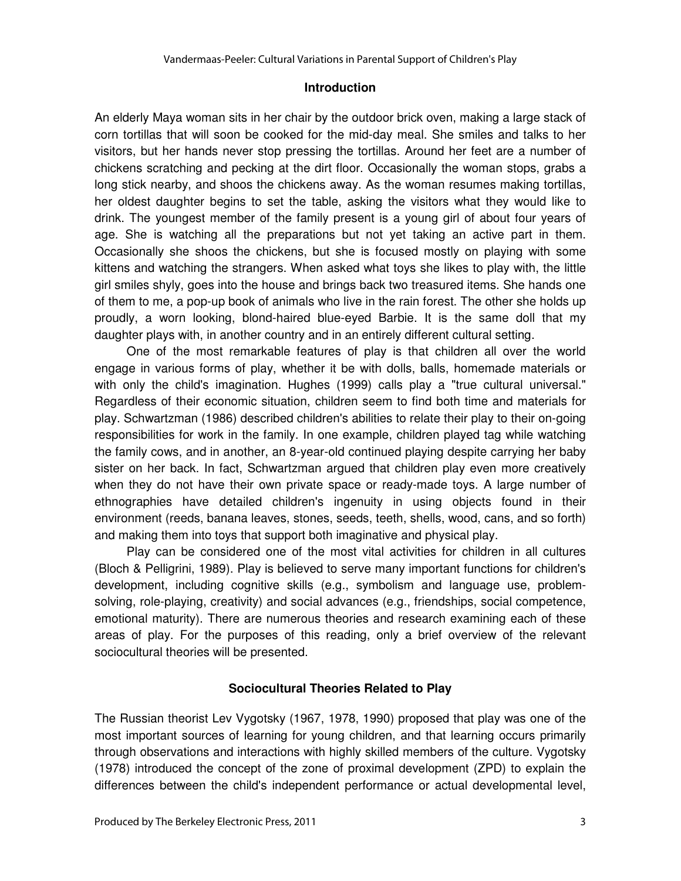#### **Introduction**

An elderly Maya woman sits in her chair by the outdoor brick oven, making a large stack of corn tortillas that will soon be cooked for the mid-day meal. She smiles and talks to her visitors, but her hands never stop pressing the tortillas. Around her feet are a number of chickens scratching and pecking at the dirt floor. Occasionally the woman stops, grabs a long stick nearby, and shoos the chickens away. As the woman resumes making tortillas, her oldest daughter begins to set the table, asking the visitors what they would like to drink. The youngest member of the family present is a young girl of about four years of age. She is watching all the preparations but not yet taking an active part in them. Occasionally she shoos the chickens, but she is focused mostly on playing with some kittens and watching the strangers. When asked what toys she likes to play with, the little girl smiles shyly, goes into the house and brings back two treasured items. She hands one of them to me, a pop-up book of animals who live in the rain forest. The other she holds up proudly, a worn looking, blond-haired blue-eyed Barbie. It is the same doll that my daughter plays with, in another country and in an entirely different cultural setting.

One of the most remarkable features of play is that children all over the world engage in various forms of play, whether it be with dolls, balls, homemade materials or with only the child's imagination. Hughes (1999) calls play a "true cultural universal." Regardless of their economic situation, children seem to find both time and materials for play. Schwartzman (1986) described children's abilities to relate their play to their on-going responsibilities for work in the family. In one example, children played tag while watching the family cows, and in another, an 8-year-old continued playing despite carrying her baby sister on her back. In fact, Schwartzman argued that children play even more creatively when they do not have their own private space or ready-made toys. A large number of ethnographies have detailed children's ingenuity in using objects found in their environment (reeds, banana leaves, stones, seeds, teeth, shells, wood, cans, and so forth) and making them into toys that support both imaginative and physical play.

Play can be considered one of the most vital activities for children in all cultures (Bloch & Pelligrini, 1989). Play is believed to serve many important functions for children's development, including cognitive skills (e.g., symbolism and language use, problemsolving, role-playing, creativity) and social advances (e.g., friendships, social competence, emotional maturity). There are numerous theories and research examining each of these areas of play. For the purposes of this reading, only a brief overview of the relevant sociocultural theories will be presented.

#### **Sociocultural Theories Related to Play**

The Russian theorist Lev Vygotsky (1967, 1978, 1990) proposed that play was one of the most important sources of learning for young children, and that learning occurs primarily through observations and interactions with highly skilled members of the culture. Vygotsky (1978) introduced the concept of the zone of proximal development (ZPD) to explain the differences between the child's independent performance or actual developmental level,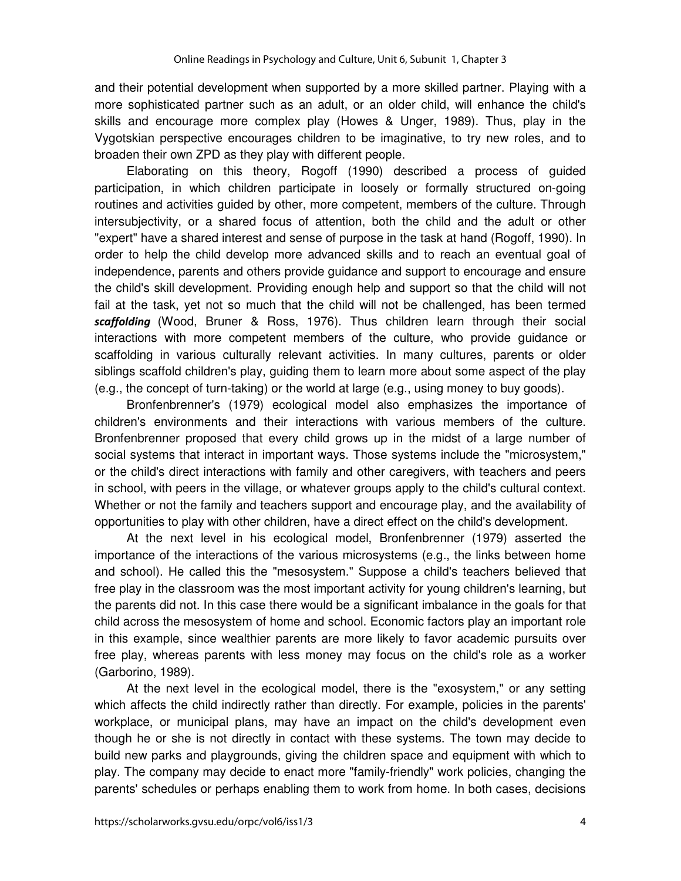and their potential development when supported by a more skilled partner. Playing with a more sophisticated partner such as an adult, or an older child, will enhance the child's skills and encourage more complex play (Howes & Unger, 1989). Thus, play in the Vygotskian perspective encourages children to be imaginative, to try new roles, and to broaden their own ZPD as they play with different people.

Elaborating on this theory, Rogoff (1990) described a process of guided participation, in which children participate in loosely or formally structured on-going routines and activities guided by other, more competent, members of the culture. Through intersubjectivity, or a shared focus of attention, both the child and the adult or other "expert" have a shared interest and sense of purpose in the task at hand (Rogoff, 1990). In order to help the child develop more advanced skills and to reach an eventual goal of independence, parents and others provide guidance and support to encourage and ensure the child's skill development. Providing enough help and support so that the child will not fail at the task, yet not so much that the child will not be challenged, has been termed scaffolding (Wood, Bruner & Ross, 1976). Thus children learn through their social interactions with more competent members of the culture, who provide guidance or scaffolding in various culturally relevant activities. In many cultures, parents or older siblings scaffold children's play, guiding them to learn more about some aspect of the play (e.g., the concept of turn-taking) or the world at large (e.g., using money to buy goods).

Bronfenbrenner's (1979) ecological model also emphasizes the importance of children's environments and their interactions with various members of the culture. Bronfenbrenner proposed that every child grows up in the midst of a large number of social systems that interact in important ways. Those systems include the "microsystem," or the child's direct interactions with family and other caregivers, with teachers and peers in school, with peers in the village, or whatever groups apply to the child's cultural context. Whether or not the family and teachers support and encourage play, and the availability of opportunities to play with other children, have a direct effect on the child's development.

At the next level in his ecological model, Bronfenbrenner (1979) asserted the importance of the interactions of the various microsystems (e.g., the links between home and school). He called this the "mesosystem." Suppose a child's teachers believed that free play in the classroom was the most important activity for young children's learning, but the parents did not. In this case there would be a significant imbalance in the goals for that child across the mesosystem of home and school. Economic factors play an important role in this example, since wealthier parents are more likely to favor academic pursuits over free play, whereas parents with less money may focus on the child's role as a worker (Garborino, 1989).

At the next level in the ecological model, there is the "exosystem," or any setting which affects the child indirectly rather than directly. For example, policies in the parents' workplace, or municipal plans, may have an impact on the child's development even though he or she is not directly in contact with these systems. The town may decide to build new parks and playgrounds, giving the children space and equipment with which to play. The company may decide to enact more "family-friendly" work policies, changing the parents' schedules or perhaps enabling them to work from home. In both cases, decisions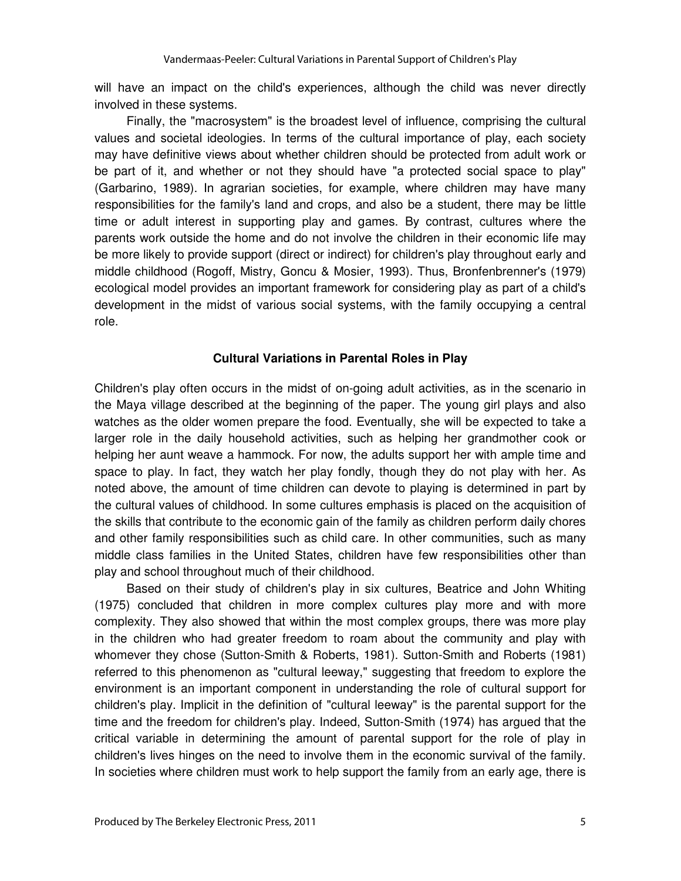will have an impact on the child's experiences, although the child was never directly involved in these systems.

Finally, the "macrosystem" is the broadest level of influence, comprising the cultural values and societal ideologies. In terms of the cultural importance of play, each society may have definitive views about whether children should be protected from adult work or be part of it, and whether or not they should have "a protected social space to play" (Garbarino, 1989). In agrarian societies, for example, where children may have many responsibilities for the family's land and crops, and also be a student, there may be little time or adult interest in supporting play and games. By contrast, cultures where the parents work outside the home and do not involve the children in their economic life may be more likely to provide support (direct or indirect) for children's play throughout early and middle childhood (Rogoff, Mistry, Goncu & Mosier, 1993). Thus, Bronfenbrenner's (1979) ecological model provides an important framework for considering play as part of a child's development in the midst of various social systems, with the family occupying a central role.

#### **Cultural Variations in Parental Roles in Play**

Children's play often occurs in the midst of on-going adult activities, as in the scenario in the Maya village described at the beginning of the paper. The young girl plays and also watches as the older women prepare the food. Eventually, she will be expected to take a larger role in the daily household activities, such as helping her grandmother cook or helping her aunt weave a hammock. For now, the adults support her with ample time and space to play. In fact, they watch her play fondly, though they do not play with her. As noted above, the amount of time children can devote to playing is determined in part by the cultural values of childhood. In some cultures emphasis is placed on the acquisition of the skills that contribute to the economic gain of the family as children perform daily chores and other family responsibilities such as child care. In other communities, such as many middle class families in the United States, children have few responsibilities other than play and school throughout much of their childhood.

Based on their study of children's play in six cultures, Beatrice and John Whiting (1975) concluded that children in more complex cultures play more and with more complexity. They also showed that within the most complex groups, there was more play in the children who had greater freedom to roam about the community and play with whomever they chose (Sutton-Smith & Roberts, 1981). Sutton-Smith and Roberts (1981) referred to this phenomenon as "cultural leeway," suggesting that freedom to explore the environment is an important component in understanding the role of cultural support for children's play. Implicit in the definition of "cultural leeway" is the parental support for the time and the freedom for children's play. Indeed, Sutton-Smith (1974) has argued that the critical variable in determining the amount of parental support for the role of play in children's lives hinges on the need to involve them in the economic survival of the family. In societies where children must work to help support the family from an early age, there is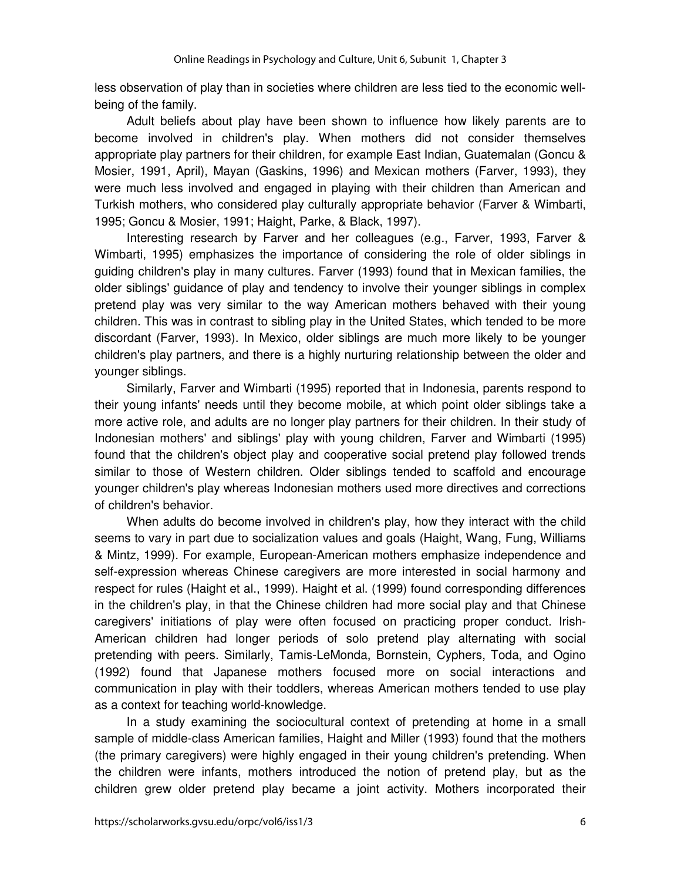less observation of play than in societies where children are less tied to the economic wellbeing of the family.

Adult beliefs about play have been shown to influence how likely parents are to become involved in children's play. When mothers did not consider themselves appropriate play partners for their children, for example East Indian, Guatemalan (Goncu & Mosier, 1991, April), Mayan (Gaskins, 1996) and Mexican mothers (Farver, 1993), they were much less involved and engaged in playing with their children than American and Turkish mothers, who considered play culturally appropriate behavior (Farver & Wimbarti, 1995; Goncu & Mosier, 1991; Haight, Parke, & Black, 1997).

Interesting research by Farver and her colleagues (e.g., Farver, 1993, Farver & Wimbarti, 1995) emphasizes the importance of considering the role of older siblings in guiding children's play in many cultures. Farver (1993) found that in Mexican families, the older siblings' guidance of play and tendency to involve their younger siblings in complex pretend play was very similar to the way American mothers behaved with their young children. This was in contrast to sibling play in the United States, which tended to be more discordant (Farver, 1993). In Mexico, older siblings are much more likely to be younger children's play partners, and there is a highly nurturing relationship between the older and younger siblings.

Similarly, Farver and Wimbarti (1995) reported that in Indonesia, parents respond to their young infants' needs until they become mobile, at which point older siblings take a more active role, and adults are no longer play partners for their children. In their study of Indonesian mothers' and siblings' play with young children, Farver and Wimbarti (1995) found that the children's object play and cooperative social pretend play followed trends similar to those of Western children. Older siblings tended to scaffold and encourage younger children's play whereas Indonesian mothers used more directives and corrections of children's behavior.

When adults do become involved in children's play, how they interact with the child seems to vary in part due to socialization values and goals (Haight, Wang, Fung, Williams & Mintz, 1999). For example, European-American mothers emphasize independence and self-expression whereas Chinese caregivers are more interested in social harmony and respect for rules (Haight et al., 1999). Haight et al. (1999) found corresponding differences in the children's play, in that the Chinese children had more social play and that Chinese caregivers' initiations of play were often focused on practicing proper conduct. Irish-American children had longer periods of solo pretend play alternating with social pretending with peers. Similarly, Tamis-LeMonda, Bornstein, Cyphers, Toda, and Ogino (1992) found that Japanese mothers focused more on social interactions and communication in play with their toddlers, whereas American mothers tended to use play as a context for teaching world-knowledge.

In a study examining the sociocultural context of pretending at home in a small sample of middle-class American families, Haight and Miller (1993) found that the mothers (the primary caregivers) were highly engaged in their young children's pretending. When the children were infants, mothers introduced the notion of pretend play, but as the children grew older pretend play became a joint activity. Mothers incorporated their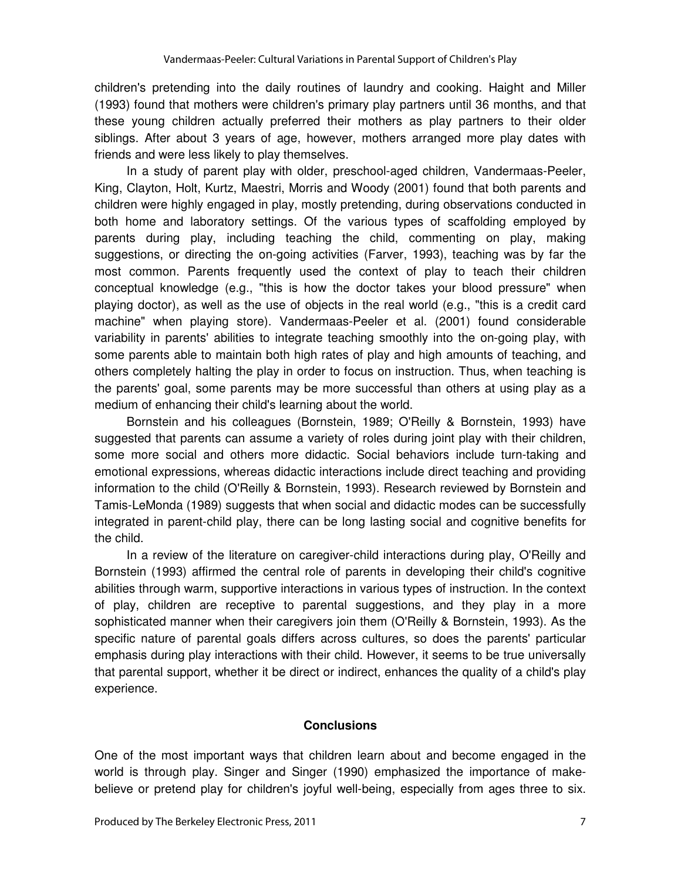children's pretending into the daily routines of laundry and cooking. Haight and Miller (1993) found that mothers were children's primary play partners until 36 months, and that these young children actually preferred their mothers as play partners to their older siblings. After about 3 years of age, however, mothers arranged more play dates with friends and were less likely to play themselves.

In a study of parent play with older, preschool-aged children, Vandermaas-Peeler, King, Clayton, Holt, Kurtz, Maestri, Morris and Woody (2001) found that both parents and children were highly engaged in play, mostly pretending, during observations conducted in both home and laboratory settings. Of the various types of scaffolding employed by parents during play, including teaching the child, commenting on play, making suggestions, or directing the on-going activities (Farver, 1993), teaching was by far the most common. Parents frequently used the context of play to teach their children conceptual knowledge (e.g., "this is how the doctor takes your blood pressure" when playing doctor), as well as the use of objects in the real world (e.g., "this is a credit card machine" when playing store). Vandermaas-Peeler et al. (2001) found considerable variability in parents' abilities to integrate teaching smoothly into the on-going play, with some parents able to maintain both high rates of play and high amounts of teaching, and others completely halting the play in order to focus on instruction. Thus, when teaching is the parents' goal, some parents may be more successful than others at using play as a medium of enhancing their child's learning about the world.

Bornstein and his colleagues (Bornstein, 1989; O'Reilly & Bornstein, 1993) have suggested that parents can assume a variety of roles during joint play with their children, some more social and others more didactic. Social behaviors include turn-taking and emotional expressions, whereas didactic interactions include direct teaching and providing information to the child (O'Reilly & Bornstein, 1993). Research reviewed by Bornstein and Tamis-LeMonda (1989) suggests that when social and didactic modes can be successfully integrated in parent-child play, there can be long lasting social and cognitive benefits for the child.

In a review of the literature on caregiver-child interactions during play, O'Reilly and Bornstein (1993) affirmed the central role of parents in developing their child's cognitive abilities through warm, supportive interactions in various types of instruction. In the context of play, children are receptive to parental suggestions, and they play in a more sophisticated manner when their caregivers join them (O'Reilly & Bornstein, 1993). As the specific nature of parental goals differs across cultures, so does the parents' particular emphasis during play interactions with their child. However, it seems to be true universally that parental support, whether it be direct or indirect, enhances the quality of a child's play experience.

#### **Conclusions**

One of the most important ways that children learn about and become engaged in the world is through play. Singer and Singer (1990) emphasized the importance of makebelieve or pretend play for children's joyful well-being, especially from ages three to six.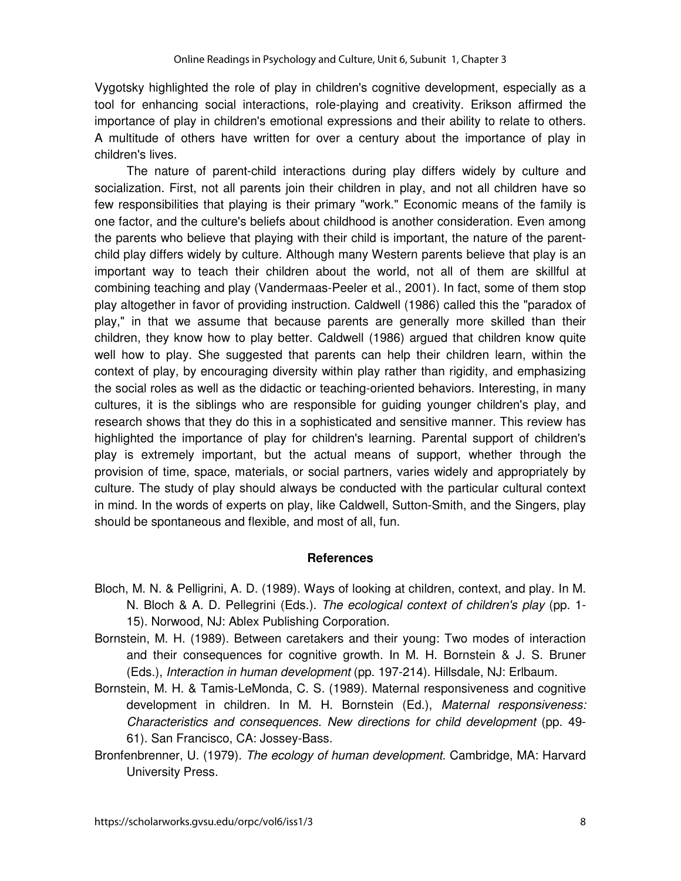Vygotsky highlighted the role of play in children's cognitive development, especially as a tool for enhancing social interactions, role-playing and creativity. Erikson affirmed the importance of play in children's emotional expressions and their ability to relate to others. A multitude of others have written for over a century about the importance of play in children's lives.

The nature of parent-child interactions during play differs widely by culture and socialization. First, not all parents join their children in play, and not all children have so few responsibilities that playing is their primary "work." Economic means of the family is one factor, and the culture's beliefs about childhood is another consideration. Even among the parents who believe that playing with their child is important, the nature of the parentchild play differs widely by culture. Although many Western parents believe that play is an important way to teach their children about the world, not all of them are skillful at combining teaching and play (Vandermaas-Peeler et al., 2001). In fact, some of them stop play altogether in favor of providing instruction. Caldwell (1986) called this the "paradox of play," in that we assume that because parents are generally more skilled than their children, they know how to play better. Caldwell (1986) argued that children know quite well how to play. She suggested that parents can help their children learn, within the context of play, by encouraging diversity within play rather than rigidity, and emphasizing the social roles as well as the didactic or teaching-oriented behaviors. Interesting, in many cultures, it is the siblings who are responsible for guiding younger children's play, and research shows that they do this in a sophisticated and sensitive manner. This review has highlighted the importance of play for children's learning. Parental support of children's play is extremely important, but the actual means of support, whether through the provision of time, space, materials, or social partners, varies widely and appropriately by culture. The study of play should always be conducted with the particular cultural context in mind. In the words of experts on play, like Caldwell, Sutton-Smith, and the Singers, play should be spontaneous and flexible, and most of all, fun.

#### **References**

- Bloch, M. N. & Pelligrini, A. D. (1989). Ways of looking at children, context, and play. In M. N. Bloch & A. D. Pellegrini (Eds.). The ecological context of children's play (pp. 1-15). Norwood, NJ: Ablex Publishing Corporation.
- Bornstein, M. H. (1989). Between caretakers and their young: Two modes of interaction and their consequences for cognitive growth. In M. H. Bornstein & J. S. Bruner (Eds.), Interaction in human development (pp. 197-214). Hillsdale, NJ: Erlbaum.
- Bornstein, M. H. & Tamis-LeMonda, C. S. (1989). Maternal responsiveness and cognitive development in children. In M. H. Bornstein (Ed.), Maternal responsiveness: Characteristics and consequences. New directions for child development (pp. 49- 61). San Francisco, CA: Jossey-Bass.
- Bronfenbrenner, U. (1979). The ecology of human development. Cambridge, MA: Harvard University Press.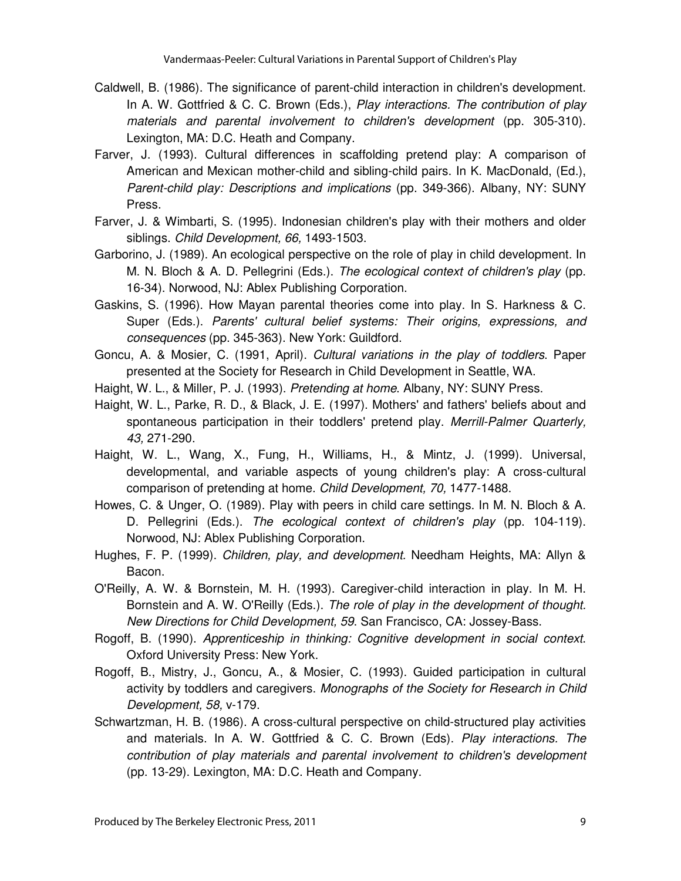- Caldwell, B. (1986). The significance of parent-child interaction in children's development. In A. W. Gottfried & C. C. Brown (Eds.), Play interactions. The contribution of play materials and parental involvement to children's development (pp. 305-310). Lexington, MA: D.C. Heath and Company.
- Farver, J. (1993). Cultural differences in scaffolding pretend play: A comparison of American and Mexican mother-child and sibling-child pairs. In K. MacDonald, (Ed.), Parent-child play: Descriptions and implications (pp. 349-366). Albany, NY: SUNY Press.
- Farver, J. & Wimbarti, S. (1995). Indonesian children's play with their mothers and older siblings. Child Development, 66, 1493-1503.
- Garborino, J. (1989). An ecological perspective on the role of play in child development. In M. N. Bloch & A. D. Pellegrini (Eds.). The ecological context of children's play (pp. 16-34). Norwood, NJ: Ablex Publishing Corporation.
- Gaskins, S. (1996). How Mayan parental theories come into play. In S. Harkness & C. Super (Eds.). Parents' cultural belief systems: Their origins, expressions, and consequences (pp. 345-363). New York: Guildford.
- Goncu, A. & Mosier, C. (1991, April). Cultural variations in the play of toddlers. Paper presented at the Society for Research in Child Development in Seattle, WA.
- Haight, W. L., & Miller, P. J. (1993). Pretending at home. Albany, NY: SUNY Press.
- Haight, W. L., Parke, R. D., & Black, J. E. (1997). Mothers' and fathers' beliefs about and spontaneous participation in their toddlers' pretend play. Merrill-Palmer Quarterly, 43, 271-290.
- Haight, W. L., Wang, X., Fung, H., Williams, H., & Mintz, J. (1999). Universal, developmental, and variable aspects of young children's play: A cross-cultural comparison of pretending at home. Child Development, 70, 1477-1488.
- Howes, C. & Unger, O. (1989). Play with peers in child care settings. In M. N. Bloch & A. D. Pellegrini (Eds.). The ecological context of children's play (pp. 104-119). Norwood, NJ: Ablex Publishing Corporation.
- Hughes, F. P. (1999). Children, play, and development. Needham Heights, MA: Allyn & Bacon.
- O'Reilly, A. W. & Bornstein, M. H. (1993). Caregiver-child interaction in play. In M. H. Bornstein and A. W. O'Reilly (Eds.). The role of play in the development of thought. New Directions for Child Development, 59. San Francisco, CA: Jossey-Bass.
- Rogoff, B. (1990). Apprenticeship in thinking: Cognitive development in social context. Oxford University Press: New York.
- Rogoff, B., Mistry, J., Goncu, A., & Mosier, C. (1993). Guided participation in cultural activity by toddlers and caregivers. Monographs of the Society for Research in Child Development, 58, v-179.
- Schwartzman, H. B. (1986). A cross-cultural perspective on child-structured play activities and materials. In A. W. Gottfried & C. C. Brown (Eds). Play interactions. The contribution of play materials and parental involvement to children's development (pp. 13-29). Lexington, MA: D.C. Heath and Company.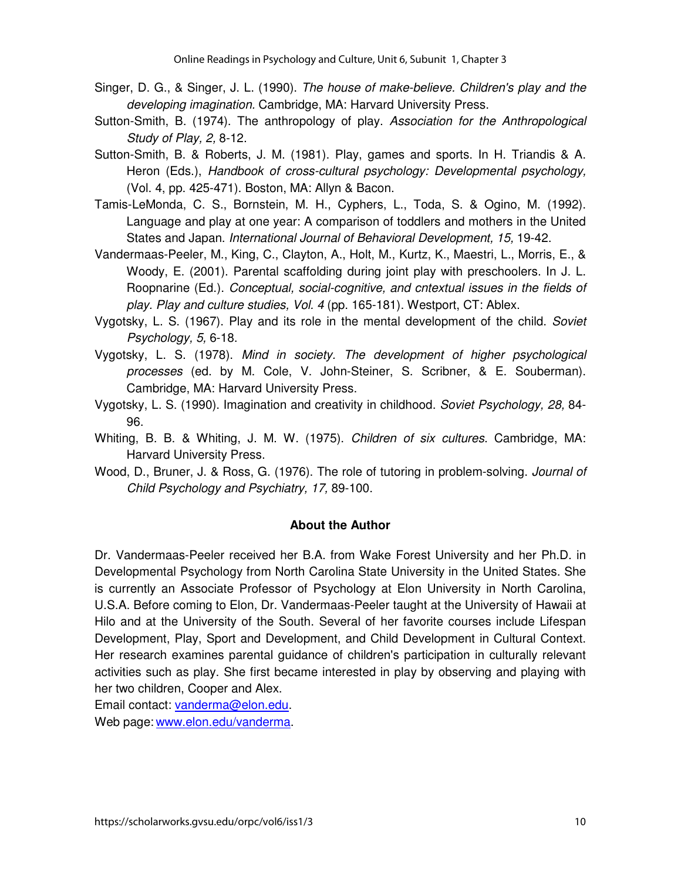- Singer, D. G., & Singer, J. L. (1990). The house of make-believe. Children's play and the developing imagination. Cambridge, MA: Harvard University Press.
- Sutton-Smith, B. (1974). The anthropology of play. Association for the Anthropological Study of Play, 2, 8-12.
- Sutton-Smith, B. & Roberts, J. M. (1981). Play, games and sports. In H. Triandis & A. Heron (Eds.), Handbook of cross-cultural psychology: Developmental psychology, (Vol. 4, pp. 425-471). Boston, MA: Allyn & Bacon.
- Tamis-LeMonda, C. S., Bornstein, M. H., Cyphers, L., Toda, S. & Ogino, M. (1992). Language and play at one year: A comparison of toddlers and mothers in the United States and Japan. International Journal of Behavioral Development, 15, 19-42.
- Vandermaas-Peeler, M., King, C., Clayton, A., Holt, M., Kurtz, K., Maestri, L., Morris, E., & Woody, E. (2001). Parental scaffolding during joint play with preschoolers. In J. L. Roopnarine (Ed.). Conceptual, social-cognitive, and cntextual issues in the fields of play. Play and culture studies, Vol. 4 (pp. 165-181). Westport, CT: Ablex.
- Vygotsky, L. S. (1967). Play and its role in the mental development of the child. Soviet Psychology, 5, 6-18.
- Vygotsky, L. S. (1978). Mind in society. The development of higher psychological processes (ed. by M. Cole, V. John-Steiner, S. Scribner, & E. Souberman). Cambridge, MA: Harvard University Press.
- Vygotsky, L. S. (1990). Imagination and creativity in childhood. Soviet Psychology, 28, 84- 96.
- Whiting, B. B. & Whiting, J. M. W. (1975). Children of six cultures. Cambridge, MA: Harvard University Press.
- Wood, D., Bruner, J. & Ross, G. (1976). The role of tutoring in problem-solving. Journal of Child Psychology and Psychiatry, 17, 89-100.

#### **About the Author**

Dr. Vandermaas-Peeler received her B.A. from Wake Forest University and her Ph.D. in Developmental Psychology from North Carolina State University in the United States. She is currently an Associate Professor of Psychology at Elon University in North Carolina, U.S.A. Before coming to Elon, Dr. Vandermaas-Peeler taught at the University of Hawaii at Hilo and at the University of the South. Several of her favorite courses include Lifespan Development, Play, Sport and Development, and Child Development in Cultural Context. Her research examines parental guidance of children's participation in culturally relevant activities such as play. She first became interested in play by observing and playing with her two children, Cooper and Alex.

Email contact: vanderma@elon.edu. Web page: www.elon.edu/vanderma.